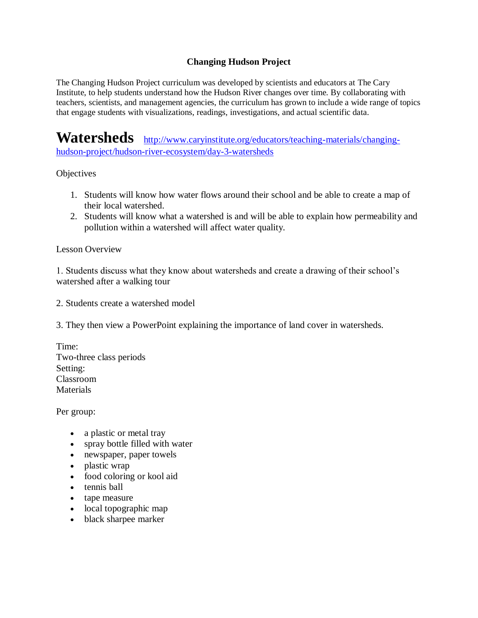## **Changing Hudson Project**

The Changing Hudson Project curriculum was developed by scientists and educators at The Cary Institute, to help students understand how the Hudson River changes over time. By collaborating with teachers, scientists, and management agencies, the curriculum has grown to include a wide range of topics that engage students with visualizations, readings, investigations, and actual scientific data.

**Watersheds** [http://www.caryinstitute.org/educators/teaching-materials/changing](http://www.caryinstitute.org/educators/teaching-materials/changing-hudson-project/hudson-river-ecosystem/day-3-watersheds)[hudson-project/hudson-river-ecosystem/day-3-watersheds](http://www.caryinstitute.org/educators/teaching-materials/changing-hudson-project/hudson-river-ecosystem/day-3-watersheds)

#### **Objectives**

- 1. Students will know how water flows around their school and be able to create a map of their local watershed.
- 2. Students will know what a watershed is and will be able to explain how permeability and pollution within a watershed will affect water quality.

#### Lesson Overview

1. Students discuss what they know about watersheds and create a drawing of their school's watershed after a walking tour

2. Students create a watershed model

3. They then view a PowerPoint explaining the importance of land cover in watersheds.

Time: Two-three class periods Setting: Classroom **Materials** 

Per group:

- a plastic or metal tray
- spray bottle filled with water
- newspaper, paper towels
- plastic wrap
- food coloring or kool aid
- tennis ball
- tape measure
- local topographic map
- black sharpee marker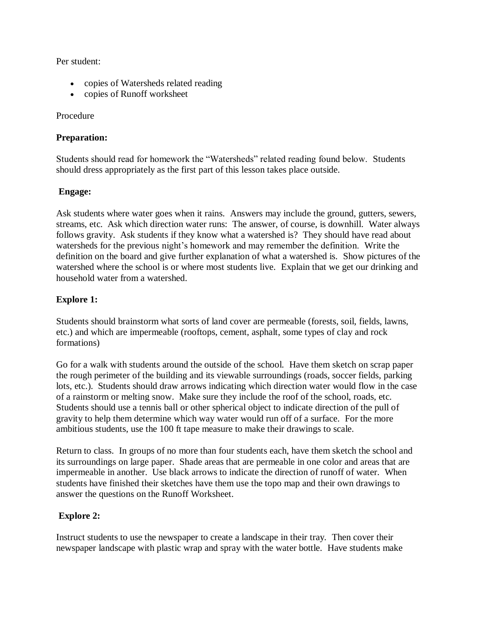Per student:

- copies of Watersheds related reading
- copies of Runoff worksheet

### Procedure

## **Preparation:**

Students should read for homework the "Watersheds" related reading found below. Students should dress appropriately as the first part of this lesson takes place outside.

## **Engage:**

Ask students where water goes when it rains. Answers may include the ground, gutters, sewers, streams, etc. Ask which direction water runs: The answer, of course, is downhill. Water always follows gravity. Ask students if they know what a watershed is? They should have read about watersheds for the previous night's homework and may remember the definition. Write the definition on the board and give further explanation of what a watershed is. Show pictures of the watershed where the school is or where most students live. Explain that we get our drinking and household water from a watershed.

## **Explore 1:**

Students should brainstorm what sorts of land cover are permeable (forests, soil, fields, lawns, etc.) and which are impermeable (rooftops, cement, asphalt, some types of clay and rock formations)

Go for a walk with students around the outside of the school. Have them sketch on scrap paper the rough perimeter of the building and its viewable surroundings (roads, soccer fields, parking lots, etc.). Students should draw arrows indicating which direction water would flow in the case of a rainstorm or melting snow. Make sure they include the roof of the school, roads, etc. Students should use a tennis ball or other spherical object to indicate direction of the pull of gravity to help them determine which way water would run off of a surface. For the more ambitious students, use the 100 ft tape measure to make their drawings to scale.

Return to class. In groups of no more than four students each, have them sketch the school and its surroundings on large paper. Shade areas that are permeable in one color and areas that are impermeable in another. Use black arrows to indicate the direction of runoff of water. When students have finished their sketches have them use the topo map and their own drawings to answer the questions on the Runoff Worksheet.

# **Explore 2:**

Instruct students to use the newspaper to create a landscape in their tray. Then cover their newspaper landscape with plastic wrap and spray with the water bottle. Have students make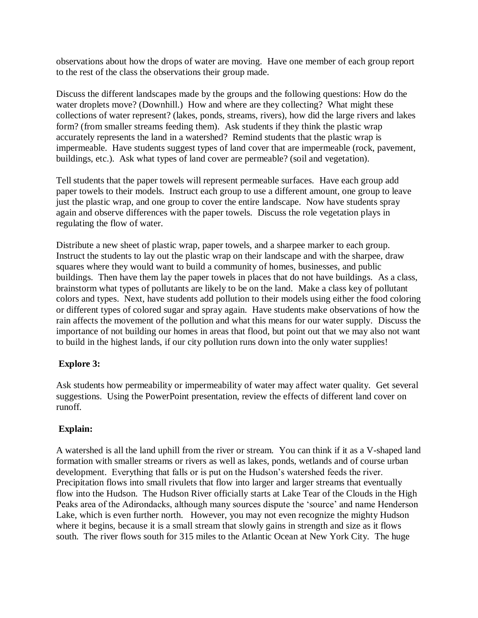observations about how the drops of water are moving. Have one member of each group report to the rest of the class the observations their group made.

Discuss the different landscapes made by the groups and the following questions: How do the water droplets move? (Downhill.) How and where are they collecting? What might these collections of water represent? (lakes, ponds, streams, rivers), how did the large rivers and lakes form? (from smaller streams feeding them). Ask students if they think the plastic wrap accurately represents the land in a watershed? Remind students that the plastic wrap is impermeable. Have students suggest types of land cover that are impermeable (rock, pavement, buildings, etc.). Ask what types of land cover are permeable? (soil and vegetation).

Tell students that the paper towels will represent permeable surfaces. Have each group add paper towels to their models. Instruct each group to use a different amount, one group to leave just the plastic wrap, and one group to cover the entire landscape. Now have students spray again and observe differences with the paper towels. Discuss the role vegetation plays in regulating the flow of water.

Distribute a new sheet of plastic wrap, paper towels, and a sharpee marker to each group. Instruct the students to lay out the plastic wrap on their landscape and with the sharpee, draw squares where they would want to build a community of homes, businesses, and public buildings. Then have them lay the paper towels in places that do not have buildings. As a class, brainstorm what types of pollutants are likely to be on the land. Make a class key of pollutant colors and types. Next, have students add pollution to their models using either the food coloring or different types of colored sugar and spray again. Have students make observations of how the rain affects the movement of the pollution and what this means for our water supply. Discuss the importance of not building our homes in areas that flood, but point out that we may also not want to build in the highest lands, if our city pollution runs down into the only water supplies!

### **Explore 3:**

Ask students how permeability or impermeability of water may affect water quality. Get several suggestions. Using the PowerPoint presentation, review the effects of different land cover on runoff.

# **Explain:**

A watershed is all the land uphill from the river or stream. You can think if it as a V-shaped land formation with smaller streams or rivers as well as lakes, ponds, wetlands and of course urban development. Everything that falls or is put on the Hudson's watershed feeds the river. Precipitation flows into small rivulets that flow into larger and larger streams that eventually flow into the Hudson. The Hudson River officially starts at Lake Tear of the Clouds in the High Peaks area of the Adirondacks, although many sources dispute the 'source' and name Henderson Lake, which is even further north. However, you may not even recognize the mighty Hudson where it begins, because it is a small stream that slowly gains in strength and size as it flows south. The river flows south for 315 miles to the Atlantic Ocean at New York City. The huge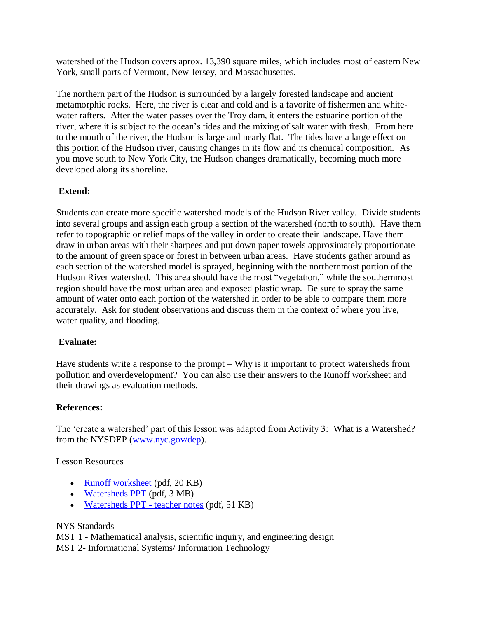watershed of the Hudson covers aprox. 13,390 square miles, which includes most of eastern New York, small parts of Vermont, New Jersey, and Massachusettes.

The northern part of the Hudson is surrounded by a largely forested landscape and ancient metamorphic rocks. Here, the river is clear and cold and is a favorite of fishermen and whitewater rafters. After the water passes over the Troy dam, it enters the estuarine portion of the river, where it is subject to the ocean's tides and the mixing of salt water with fresh. From here to the mouth of the river, the Hudson is large and nearly flat. The tides have a large effect on this portion of the Hudson river, causing changes in its flow and its chemical composition. As you move south to New York City, the Hudson changes dramatically, becoming much more developed along its shoreline.

## **Extend:**

Students can create more specific watershed models of the Hudson River valley. Divide students into several groups and assign each group a section of the watershed (north to south). Have them refer to topographic or relief maps of the valley in order to create their landscape. Have them draw in urban areas with their sharpees and put down paper towels approximately proportionate to the amount of green space or forest in between urban areas. Have students gather around as each section of the watershed model is sprayed, beginning with the northernmost portion of the Hudson River watershed. This area should have the most "vegetation," while the southernmost region should have the most urban area and exposed plastic wrap. Be sure to spray the same amount of water onto each portion of the watershed in order to be able to compare them more accurately. Ask for student observations and discuss them in the context of where you live, water quality, and flooding.

### **Evaluate:**

Have students write a response to the prompt – Why is it important to protect watersheds from pollution and overdevelopment? You can also use their answers to the Runoff worksheet and their drawings as evaluation methods.

### **References:**

The 'create a watershed' part of this lesson was adapted from Activity 3: What is a Watershed? from the NYSDEP [\(www.nyc.gov/dep\)](http://www.nyc.gov/dep).

Lesson Resources

- [Runoff worksheet](http://www.caryinstitute.org/sites/default/files/public/downloads/lesson-plans/watershed_runoff_worksheet.pdf) (pdf, 20 KB)
- [Watersheds PPT](http://www.caryinstitute.org/sites/default/files/public/downloads/lesson-plans/watershed_intro_new.pdf) (pdf, 3 MB)
- [Watersheds PPT -](http://www.caryinstitute.org/sites/default/files/public/downloads/lesson-plans/teacher_notes_for_watersheds_ppt.pdf) teacher notes (pdf, 51 KB)

### NYS Standards

MST 1 - Mathematical analysis, scientific inquiry, and engineering design MST 2- Informational Systems/ Information Technology